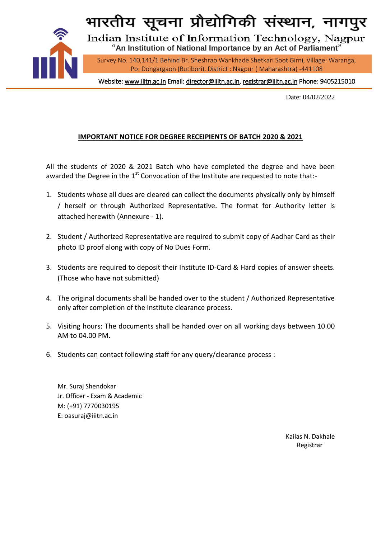

भारतीय सूचना प्रौद्योगिकी संस्थान, नागपुर

Indian Institute of Information Technology, Nagpur "**An Institution of National Importance by an Act of Parliament**"

Survey No. 140,141/1 Behind Br. Sheshrao Wankhade Shetkari Soot Girni, Village: Waranga, Po: Dongargaon (Butibori), District : Nagpur ( Maharashtra) -441108

Website[: www.iiitn.ac.in E](http://www.iiitn.ac.in/)mail[: director@iiitn.ac.in,](mailto:director@iiitn.ac.in) [registrar@iiitn.ac.in](mailto:registrar@iiitn.ac.in) Phone: 9405215010

Date: 04/02/2022

## **IMPORTANT NOTICE FOR DEGREE RECEIPIENTS OF BATCH 2020 & 2021**

All the students of 2020 & 2021 Batch who have completed the degree and have been awarded the Degree in the  $1<sup>st</sup>$  Convocation of the Institute are requested to note that:-

- 1. Students whose all dues are cleared can collect the documents physically only by himself / herself or through Authorized Representative. The format for Authority letter is attached herewith (Annexure - 1).
- 2. Student / Authorized Representative are required to submit copy of Aadhar Card as their photo ID proof along with copy of No Dues Form.
- 3. Students are required to deposit their Institute ID-Card & Hard copies of answer sheets. (Those who have not submitted)
- 4. The original documents shall be handed over to the student / Authorized Representative only after completion of the Institute clearance process.
- 5. Visiting hours: The documents shall be handed over on all working days between 10.00 AM to 04.00 PM.
- 6. Students can contact following staff for any query/clearance process :

Mr. Suraj Shendokar Jr. Officer - Exam & Academic M: (+91) 7770030195 E: oasuraj@iiitn.ac.in

> Kailas N. Dakhale Registrar